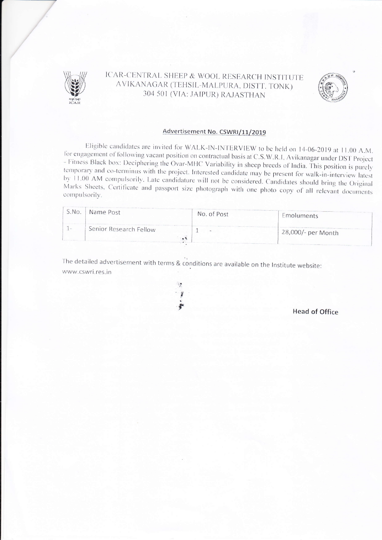

# ICAR-CENTRAL SHEEP & WOOL RESEARCH INSTITUTE AVIKANAGAR (TEHSIL-MALPURA, DISTT. TONK) 304 501 (VIA: JAIPUR) RAJASTHAN



#### Advertisement No. CSWRI/11/2019

Eligible candidates are invited for WALK-IN-INTERVIEW to be held on 14-06-2019 at 11.00 A.M. for engagement of following vacant position on contractual basis at C.S.W.R.I, Avikanagar under DST Project - Fitness Black box: Deciphering the Ovar-MHC Variability in sheep breeds of India. This position is purely temporary and co-terminus with the project. Interested candidate may be present for walk-in-interview latest by 11.00 AM compulsorily. Late candidature will not be considered. Candidates should bring the Original Marks Sheets, Certificate and passport size photograph with one photo copy of all relevant documents compulsorily.

| S.NO.       | Name Post              | the service of the party of the party of the service and the party of the party<br>No. of Post | Emoluments         |
|-------------|------------------------|------------------------------------------------------------------------------------------------|--------------------|
| <b>Call</b> | Senior Research Fellow | $\overline{\phantom{a}}$                                                                       | 28,000/- per Month |

The detailed advertisement with terms & conditions are available on the Institute website: www.cswri.res.in



**Head of Office**